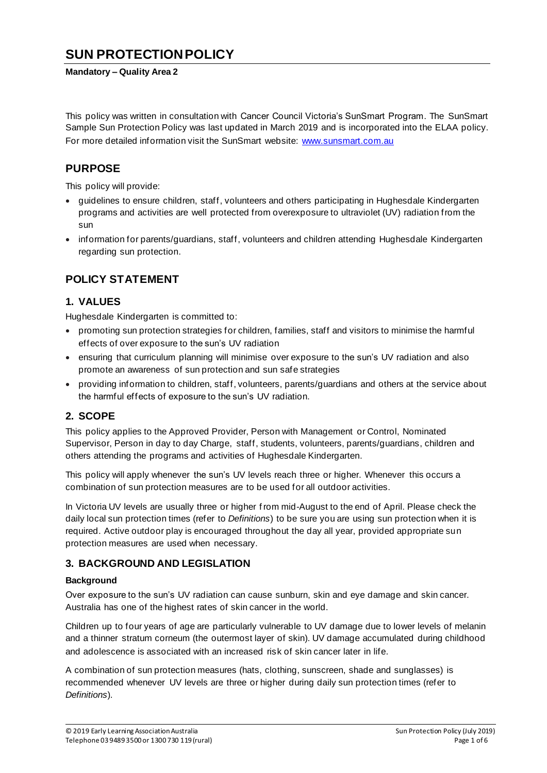# **SUN PROTECTION POLICY**

#### **Mandatory – Quality Area 2**

This policy was written in consultation with Cancer Council Victoria's SunSmart Program. The SunSmart Sample Sun Protection Policy was last updated in March 2019 and is incorporated into the ELAA policy. For more detailed information visit the SunSmart website: www.sunsmart.com.au

### **PURPOSE**

This policy will provide:

- guidelines to ensure children, staff, volunteers and others participating in Hughesdale Kindergarten programs and activities are well protected from overexposure to ultraviolet (UV) radiation from the sun
- information for parents/guardians, staff, volunteers and children attending Hughesdale Kindergarten regarding sun protection.

### **POLICY STATEMENT**

### **1. VALUES**

Hughesdale Kindergarten is committed to:

- promoting sun protection strategies for children, families, staff and visitors to minimise the harmful effects of over exposure to the sun's UV radiation
- ensuring that curriculum planning will minimise over exposure to the sun's UV radiation and also promote an awareness of sun protection and sun safe strategies
- providing information to children, staff, volunteers, parents/guardians and others at the service about the harmful effects of exposure to the sun's UV radiation.

#### **2. SCOPE**

This policy applies to the Approved Provider, Person with Management or Control, Nominated Supervisor, Person in day to day Charge, staff, students, volunteers, parents/guardians, children and others attending the programs and activities of Hughesdale Kindergarten.

This policy will apply whenever the sun's UV levels reach three or higher. Whenever this occurs a combination of sun protection measures are to be used for all outdoor activities.

In Victoria UV levels are usually three or higher from mid-August to the end of April. Please check the daily local sun protection times (refer to *Definitions*) to be sure you are using sun protection when it is required. Active outdoor play is encouraged throughout the day all year, provided appropriate sun protection measures are used when necessary.

#### **3. BACKGROUND AND LEGISLATION**

#### **Background**

Over exposure to the sun's UV radiation can cause sunburn, skin and eye damage and skin cancer. Australia has one of the highest rates of skin cancer in the world.

Children up to four years of age are particularly vulnerable to UV damage due to lower levels of melanin and a thinner stratum corneum (the outermost layer of skin). UV damage accumulated during childhood and adolescence is associated with an increased risk of skin cancer later in life.

A combination of sun protection measures (hats, clothing, sunscreen, shade and sunglasses) is recommended whenever UV levels are three or higher during daily sun protection times (refer to *Definitions*).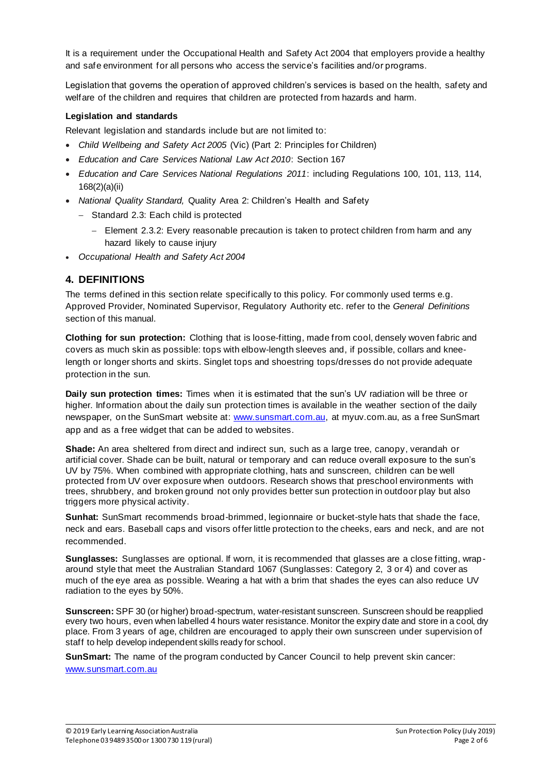It is a requirement under the Occupational Health and Safety Act 2004 that employers provide a healthy and safe environment for all persons who access the service's facilities and/or programs.

Legislation that governs the operation of approved children's services is based on the health, safety and welfare of the children and requires that children are protected from hazards and harm.

#### **Legislation and standards**

Relevant legislation and standards include but are not limited to:

- *Child Wellbeing and Safety Act 2005* (Vic) (Part 2: Principles for Children)
- *Education and Care Services National Law Act 2010*: Section 167
- *Education and Care Services National Regulations 2011*: including Regulations 100, 101, 113, 114, 168(2)(a)(ii)
- *National Quality Standard,* Quality Area 2: Children's Health and Safety
	- − Standard 2.3: Each child is protected
		- − Element 2.3.2: Every reasonable precaution is taken to protect children from harm and any hazard likely to cause injury
- *Occupational Health and Safety Act 2004*

### **4. DEFINITIONS**

The terms defined in this section relate specifically to this policy. For commonly used terms e.g. Approved Provider, Nominated Supervisor, Regulatory Authority etc. refer to the *General Definitions* section of this manual.

**Clothing for sun protection:** Clothing that is loose-fitting, made from cool, densely woven fabric and covers as much skin as possible: tops with elbow-length sleeves and, if possible, collars and kneelength or longer shorts and skirts. Singlet tops and shoestring tops/dresses do not provide adequate protection in the sun.

**Daily sun protection times:** Times when it is estimated that the sun's UV radiation will be three or higher. Information about the daily sun protection times is available in the weather section of the daily newspaper, on the SunSmart website at: www.sunsmart.com.au, at myuv.com.au, as a free SunSmart app and as a free widget that can be added to websites.

**Shade:** An area sheltered from direct and indirect sun, such as a large tree, canopy, verandah or artificial cover. Shade can be built, natural or temporary and can reduce overall exposure to the sun's UV by 75%. When combined with appropriate clothing, hats and sunscreen, children can be well protected from UV over exposure when outdoors. Research shows that preschool environments with trees, shrubbery, and broken ground not only provides better sun protection in outdoor play but also triggers more physical activity.

**Sunhat:** SunSmart recommends broad-brimmed, legionnaire or bucket-style hats that shade the face, neck and ears. Baseball caps and visors offer little protection to the cheeks, ears and neck, and are not recommended.

**Sunglasses:** Sunglasses are optional. If worn, it is recommended that glasses are a close fitting, wraparound style that meet the Australian Standard 1067 (Sunglasses: Category 2, 3 or 4) and cover as much of the eye area as possible. Wearing a hat with a brim that shades the eyes can also reduce UV radiation to the eyes by 50%.

**Sunscreen:** SPF 30 (or higher) broad-spectrum, water-resistant sunscreen. Sunscreen should be reapplied every two hours, even when labelled 4 hours water resistance. Monitor the expiry date and store in a cool, dry place. From 3 years of age, children are encouraged to apply their own sunscreen under supervision of staff to help develop independent skills ready for school.

**SunSmart:** The name of the program conducted by Cancer Council to help prevent skin cancer: www.sunsmart.com.au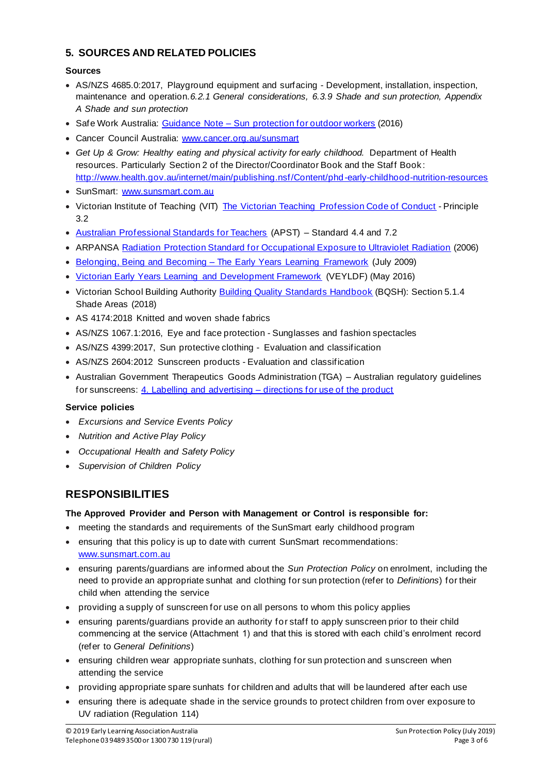### **5. SOURCES AND RELATED POLICIES**

### **Sources**

- AS/NZS 4685.0:2017, Playground equipment and surfacing Development, installation, inspection, maintenance and operation.*6.2.1 General considerations, 6.3.9 Shade and sun protection, Appendix A Shade and sun protection*
- Safe Work Australia: Guidance Note Sun protection for outdoor workers (2016)
- Cancer Council Australia: www.cancer.org.au/sunsmart
- Get Up & Grow: Healthy eating and physical activity for early childhood. Department of Health resources. Particularly Section 2 of the Director/Coordinator Book and the Staff Book : http://www.health.gov.au/internet/main/publishing.nsf/Content/phd -early-childhood-nutrition-resources
- SunSmart: www.sunsmart.com.au
- Victorian Institute of Teaching (VIT) The Victorian Teaching Profession Code of Conduct Principle 3.2
- Australian Professional Standards for Teachers (APST) Standard 4.4 and 7.2
- ARPANSA Radiation Protection Standard for Occupational Exposure to Ultraviolet Radiation (2006)
- Belonging, Being and Becoming The Early Years Learning Framework (July 2009)
- Victorian Early Years Learning and Development Framework (VEYLDF) (May 2016)
- Victorian School Building Authority Building Quality Standards Handbook (BQSH): Section 5.1.4 Shade Areas (2018)
- AS 4174:2018 Knitted and woven shade fabrics
- AS/NZS 1067.1:2016, Eye and face protection Sunglasses and fashion spectacles
- AS/NZS 4399:2017, Sun protective clothing Evaluation and classification
- AS/NZS 2604:2012 Sunscreen products Evaluation and classification
- Australian Government Therapeutics Goods Administration (TGA) Australian regulatory guidelines for sunscreens: 4. Labelling and advertising – directions for use of the product

#### **Service policies**

- *Excursions and Service Events Policy*
- *Nutrition and Active Play Policy*
- *Occupational Health and Safety Policy*
- *Supervision of Children Policy*

# **RESPONSIBILITIES**

#### **The Approved Provider and Person with Management or Control is responsible for:**

- meeting the standards and requirements of the SunSmart early childhood program
- ensuring that this policy is up to date with current SunSmart recommendations: www.sunsmart.com.au
- ensuring parents/guardians are informed about the *Sun Protection Policy* on enrolment, including the need to provide an appropriate sunhat and clothing for sun protection (refer to *Definitions*) for their child when attending the service
- providing a supply of sunscreen for use on all persons to whom this policy applies
- ensuring parents/guardians provide an authority for staff to apply sunscreen prior to their child commencing at the service (Attachment 1) and that this is stored with each child's enrolment record (refer to *General Definitions*)
- ensuring children wear appropriate sunhats, clothing for sun protection and sunscreen when attending the service
- providing appropriate spare sunhats for children and adults that will be laundered after each use
- ensuring there is adequate shade in the service grounds to protect children from over exposure to UV radiation (Regulation 114)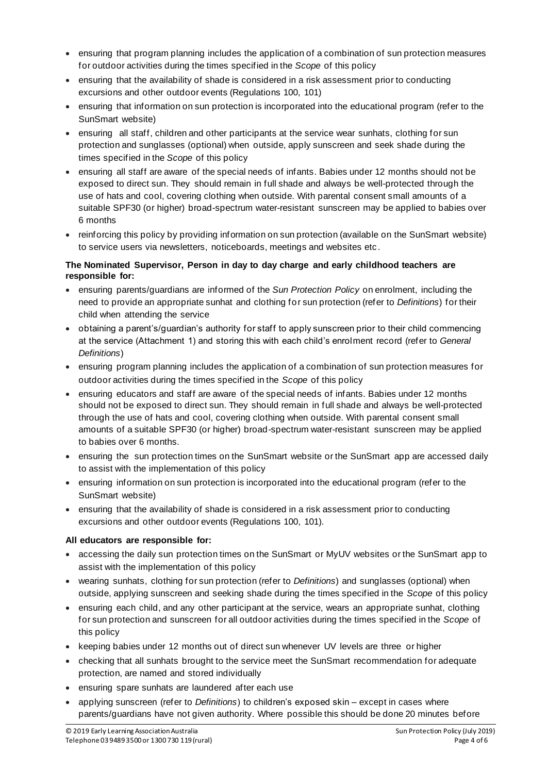- ensuring that program planning includes the application of a combination of sun protection measures for outdoor activities during the times specified in the *Scope* of this policy
- ensuring that the availability of shade is considered in a risk assessment prior to conducting excursions and other outdoor events (Regulations 100, 101)
- ensuring that information on sun protection is incorporated into the educational program (refer to the SunSmart website)
- ensuring all staff, children and other participants at the service wear sunhats, clothing for sun protection and sunglasses (optional) when outside, apply sunscreen and seek shade during the times specified in the *Scope* of this policy
- ensuring all staff are aware of the special needs of infants. Babies under 12 months should not be exposed to direct sun. They should remain in full shade and always be well-protected through the use of hats and cool, covering clothing when outside. With parental consent small amounts of a suitable SPF30 (or higher) broad-spectrum water-resistant sunscreen may be applied to babies over 6 months
- reinforcing this policy by providing information on sun protection (available on the SunSmart website) to service users via newsletters, noticeboards, meetings and websites etc .

#### **The Nominated Supervisor, Person in day to day charge and early childhood teachers are responsible for:**

- ensuring parents/guardians are informed of the *Sun Protection Policy* on enrolment, including the need to provide an appropriate sunhat and clothing for sun protection (refer to *Definitions*) for their child when attending the service
- obtaining a parent's/guardian's authority for staff to apply sunscreen prior to their child commencing at the service (Attachment 1) and storing this with each child's enrolment record (refer to *General Definitions*)
- ensuring program planning includes the application of a combination of sun protection measures for outdoor activities during the times specified in the *Scope* of this policy
- ensuring educators and staff are aware of the special needs of infants. Babies under 12 months should not be exposed to direct sun. They should remain in full shade and always be well-protected through the use of hats and cool, covering clothing when outside. With parental consent small amounts of a suitable SPF30 (or higher) broad-spectrum water-resistant sunscreen may be applied to babies over 6 months.
- ensuring the sun protection times on the SunSmart website or the SunSmart app are accessed daily to assist with the implementation of this policy
- ensuring information on sun protection is incorporated into the educational program (refer to the SunSmart website)
- ensuring that the availability of shade is considered in a risk assessment prior to conducting excursions and other outdoor events (Regulations 100, 101).

#### **All educators are responsible for:**

- accessing the daily sun protection times on the SunSmart or MyUV websites or the SunSmart app to assist with the implementation of this policy
- wearing sunhats, clothing for sun protection (refer to *Definitions*) and sunglasses (optional) when outside, applying sunscreen and seeking shade during the times specified in the *Scope* of this policy
- ensuring each child, and any other participant at the service, wears an appropriate sunhat, clothing for sun protection and sunscreen for all outdoor activities during the times specified in the *Scope* of this policy
- keeping babies under 12 months out of direct sun whenever UV levels are three or higher
- checking that all sunhats brought to the service meet the SunSmart recommendation for adequate protection, are named and stored individually
- ensuring spare sunhats are laundered after each use
- applying sunscreen (refer to *Definitions*) to children's exposed skin except in cases where parents/guardians have not given authority. Where possible this should be done 20 minutes before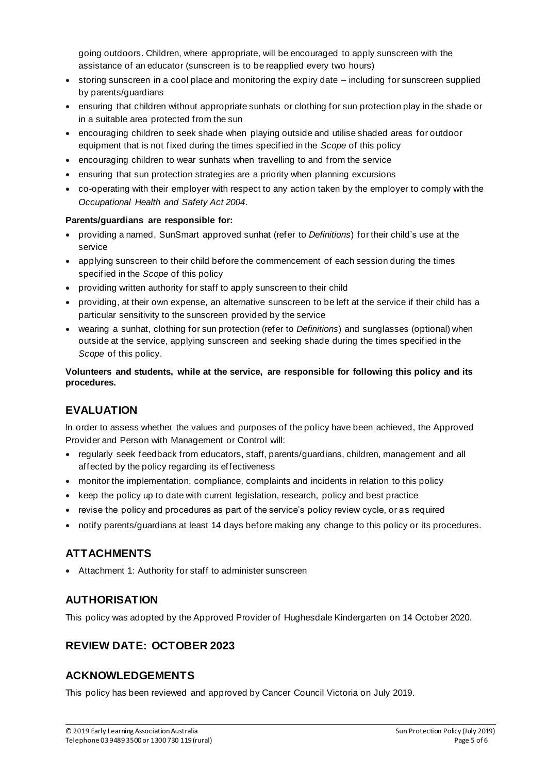going outdoors. Children, where appropriate, will be encouraged to apply sunscreen with the assistance of an educator (sunscreen is to be reapplied every two hours)

- storing sunscreen in a cool place and monitoring the expiry date including for sunscreen supplied by parents/guardians
- ensuring that children without appropriate sunhats or clothing for sun protection play in the shade or in a suitable area protected from the sun
- encouraging children to seek shade when playing outside and utilise shaded areas for outdoor equipment that is not fixed during the times specified in the *Scope* of this policy
- encouraging children to wear sunhats when travelling to and from the service
- ensuring that sun protection strategies are a priority when planning excursions
- co-operating with their employer with respect to any action taken by the employer to comply with the *Occupational Health and Safety Act 2004*.

#### **Parents/guardians are responsible for:**

- providing a named, SunSmart approved sunhat (refer to *Definitions*) for their child's use at the service
- applying sunscreen to their child before the commencement of each session during the times specified in the *Scope* of this policy
- providing written authority for staff to apply sunscreen to their child
- providing, at their own expense, an alternative sunscreen to be left at the service if their child has a particular sensitivity to the sunscreen provided by the service
- wearing a sunhat, clothing for sun protection (refer to *Definitions*) and sunglasses (optional) when outside at the service, applying sunscreen and seeking shade during the times specified in the *Scope* of this policy.

#### **Volunteers and students, while at the service, are responsible for following this policy and its procedures.**

# **EVALUATION**

In order to assess whether the values and purposes of the policy have been achieved, the Approved Provider and Person with Management or Control will:

- regularly seek feedback from educators, staff, parents/guardians, children, management and all affected by the policy regarding its effectiveness
- monitor the implementation, compliance, complaints and incidents in relation to this policy
- keep the policy up to date with current legislation, research, policy and best practice
- revise the policy and procedures as part of the service's policy review cycle, or as required
- notify parents/guardians at least 14 days before making any change to this policy or its procedures.

# **ATTACHMENTS**

• Attachment 1: Authority for staff to administer sunscreen

### **AUTHORISATION**

This policy was adopted by the Approved Provider of Hughesdale Kindergarten on 14 October 2020.

# **REVIEW DATE: OCTOBER 2023**

# **ACKNOWLEDGEMENTS**

This policy has been reviewed and approved by Cancer Council Victoria on July 2019.